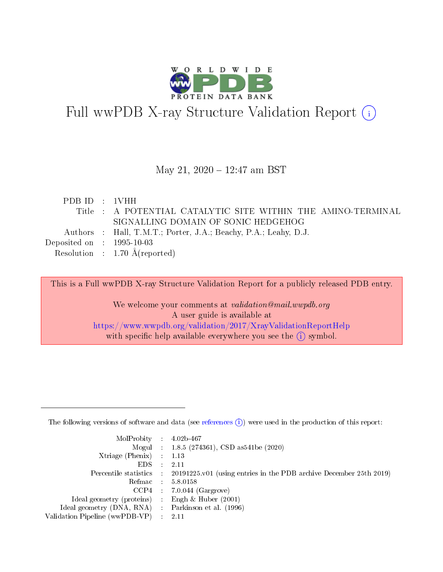

# Full wwPDB X-ray Structure Validation Report (i)

#### May 21, 2020 - 12:47 am BST

| PDB ID : 1VHH                  |                                                                 |
|--------------------------------|-----------------------------------------------------------------|
|                                | Title : A POTENTIAL CATALYTIC SITE WITHIN THE AMINO-TERMINAL    |
|                                | SIGNALLING DOMAIN OF SONIC HEDGEHOG                             |
|                                | Authors : Hall, T.M.T.; Porter, J.A.; Beachy, P.A.; Leahy, D.J. |
| Deposited on $\,$ : 1995-10-03 |                                                                 |
|                                | Resolution : $1.70 \text{ Å}$ (reported)                        |

This is a Full wwPDB X-ray Structure Validation Report for a publicly released PDB entry.

We welcome your comments at validation@mail.wwpdb.org A user guide is available at <https://www.wwpdb.org/validation/2017/XrayValidationReportHelp> with specific help available everywhere you see the  $(i)$  symbol.

The following versions of software and data (see [references](https://www.wwpdb.org/validation/2017/XrayValidationReportHelp#references)  $(1)$ ) were used in the production of this report:

| $MolProbability$ 4.02b-467                          |               |                                                                                            |
|-----------------------------------------------------|---------------|--------------------------------------------------------------------------------------------|
|                                                     |               | Mogul : $1.8.5$ (274361), CSD as 541be (2020)                                              |
| Xtriage (Phenix) $: 1.13$                           |               |                                                                                            |
| EDS.                                                | $\mathcal{L}$ | -2.11                                                                                      |
|                                                     |               | Percentile statistics : 20191225.v01 (using entries in the PDB archive December 25th 2019) |
|                                                     |               | Refmac $5.8.0158$                                                                          |
| CCP4                                                |               | $7.0.044$ (Gargrove)                                                                       |
| Ideal geometry (proteins)                           | $\sim$        | Engh $\&$ Huber (2001)                                                                     |
| Ideal geometry (DNA, RNA) : Parkinson et al. (1996) |               |                                                                                            |
| Validation Pipeline (wwPDB-VP) : 2.11               |               |                                                                                            |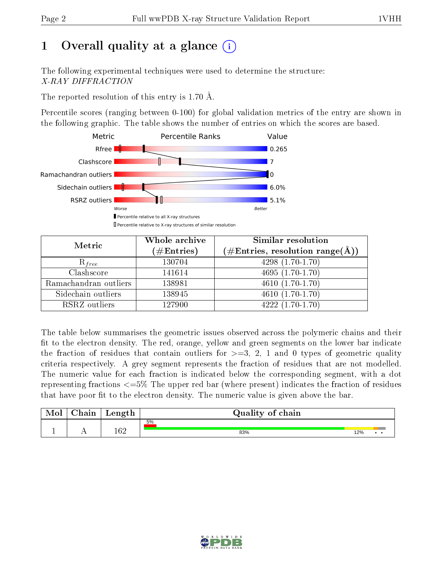# 1 [O](https://www.wwpdb.org/validation/2017/XrayValidationReportHelp#overall_quality)verall quality at a glance  $(i)$

The following experimental techniques were used to determine the structure: X-RAY DIFFRACTION

The reported resolution of this entry is 1.70 Å.

Percentile scores (ranging between 0-100) for global validation metrics of the entry are shown in the following graphic. The table shows the number of entries on which the scores are based.



| Metric                | Whole archive<br>$(\#\mathrm{Entries})$ | Similar resolution<br>$(\#\text{Entries},\,\text{resolution}\,\,\text{range}(\textup{\AA}))$ |
|-----------------------|-----------------------------------------|----------------------------------------------------------------------------------------------|
| $R_{free}$            | 130704                                  | $4298(1.70-1.70)$                                                                            |
| Clashscore            | 141614                                  | $4695(1.70-1.70)$                                                                            |
| Ramachandran outliers | 138981                                  | $4610(1.70-1.70)$                                                                            |
| Sidechain outliers    | 138945                                  | $4610(1.70-1.70)$                                                                            |
| RSRZ outliers         | 127900                                  | $4222(1.70-1.70)$                                                                            |

The table below summarises the geometric issues observed across the polymeric chains and their fit to the electron density. The red, orange, yellow and green segments on the lower bar indicate the fraction of residues that contain outliers for  $>=3, 2, 1$  and 0 types of geometric quality criteria respectively. A grey segment represents the fraction of residues that are not modelled. The numeric value for each fraction is indicated below the corresponding segment, with a dot representing fractions  $\epsilon=5\%$  The upper red bar (where present) indicates the fraction of residues that have poor fit to the electron density. The numeric value is given above the bar.

| Mol | $\cap$ hain | Length  | Quality of chain |     |  |  |  |  |  |
|-----|-------------|---------|------------------|-----|--|--|--|--|--|
|     |             |         | 5%               |     |  |  |  |  |  |
|     | . .         | $162\,$ | 83%              | 12% |  |  |  |  |  |

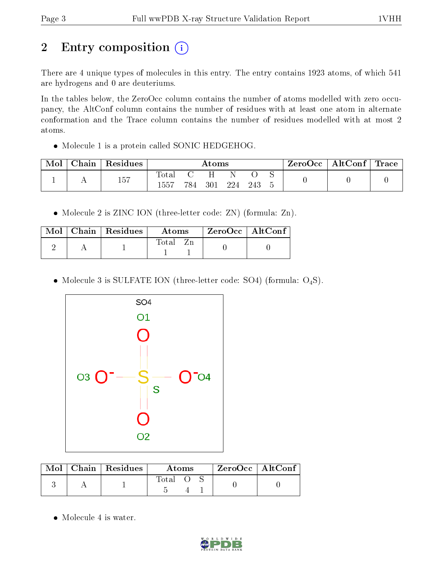# 2 Entry composition (i)

There are 4 unique types of molecules in this entry. The entry contains 1923 atoms, of which 541 are hydrogens and 0 are deuteriums.

In the tables below, the ZeroOcc column contains the number of atoms modelled with zero occupancy, the AltConf column contains the number of residues with at least one atom in alternate conformation and the Trace column contains the number of residues modelled with at most 2 atoms.

Molecule 1 is a protein called SONIC HEDGEHOG.

| Mol | $\text{Chain}$ | $\,$ Residues | Atoms                    |     |     |     |     | $\text{ZeroOcc}$   AltConf   Trace |  |  |
|-----|----------------|---------------|--------------------------|-----|-----|-----|-----|------------------------------------|--|--|
|     |                | 157           | $\mathrm{Total}$<br>1557 | 784 | 301 | 224 | 243 |                                    |  |  |

• Molecule 2 is ZINC ION (three-letter code: ZN) (formula: Zn).

|  | Mol   Chain   Residues | Atoms    | $\rm ZeroOcc \mid AltConf$ |
|--|------------------------|----------|----------------------------|
|  |                        | Total Zn |                            |

• Molecule 3 is SULFATE ION (three-letter code: SO4) (formula:  $O_4S$ ).



|  | $Mol$   Chain   Residues | Atoms |  |  | $ZeroOcc \   \ AltConf$ |
|--|--------------------------|-------|--|--|-------------------------|
|  |                          | Total |  |  |                         |

• Molecule 4 is water.

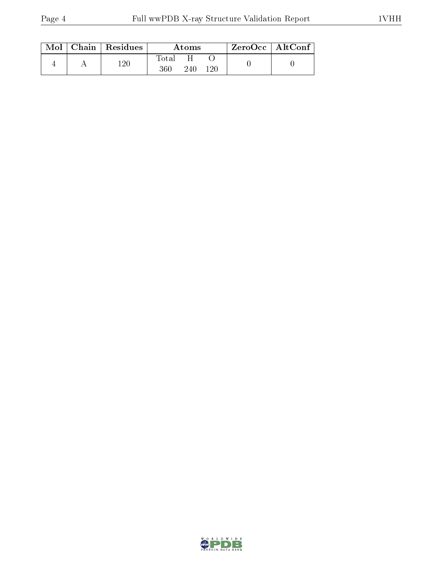| Mol | Chain   Residues | Atoms              |     |     | ZeroOcc   AltConf |  |
|-----|------------------|--------------------|-----|-----|-------------------|--|
|     | -20              | $\rm Total$<br>360 | 240 | 120 |                   |  |

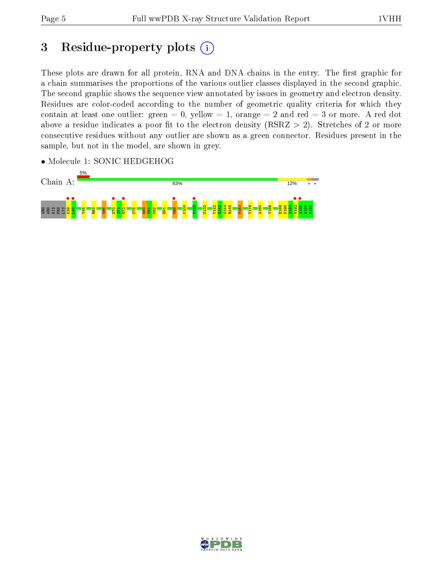# 3 Residue-property plots  $(i)$

These plots are drawn for all protein, RNA and DNA chains in the entry. The first graphic for a chain summarises the proportions of the various outlier classes displayed in the second graphic. The second graphic shows the sequence view annotated by issues in geometry and electron density. Residues are color-coded according to the number of geometric quality criteria for which they contain at least one outlier: green  $= 0$ , yellow  $= 1$ , orange  $= 2$  and red  $= 3$  or more. A red dot above a residue indicates a poor fit to the electron density (RSRZ  $> 2$ ). Stretches of 2 or more consecutive residues without any outlier are shown as a green connector. Residues present in the sample, but not in the model, are shown in grey.

• Molecule 1: SONIC HEDGEHOG



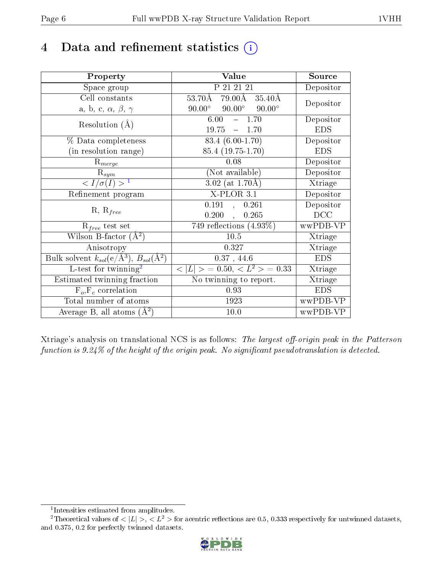## 4 Data and refinement statistics  $(i)$

| Property                                                             | Value                                               | Source                       |
|----------------------------------------------------------------------|-----------------------------------------------------|------------------------------|
| Space group                                                          | P 21 21 21                                          | Depositor                    |
| Cell constants                                                       | $53.70\AA$ $79.00\AA$ $35.40\AA$                    | Depositor                    |
| a, b, c, $\alpha$ , $\beta$ , $\gamma$                               | $90.00^{\circ}$<br>$90.00^\circ$<br>$90.00^{\circ}$ |                              |
| Resolution $(A)$                                                     | $-1.70$<br>6.00                                     | Depositor                    |
|                                                                      | 19.75<br>$-1.70$                                    | <b>EDS</b>                   |
| % Data completeness                                                  | 83.4 (6.00-1.70)                                    | Depositor                    |
| (in resolution range)                                                | 85.4 (19.75-1.70)                                   | <b>EDS</b>                   |
| $R_{merge}$                                                          | 0.08                                                | Depositor                    |
| $R_{sym}$                                                            | (Not available)                                     | Depositor                    |
| $\langle I/\sigma(I) \rangle^{-1}$                                   | $3.02$ (at 1.70Å)                                   | Xtriage                      |
| Refinement program                                                   | $X$ -PLOR 3.1                                       | Depositor                    |
|                                                                      | 0.191, 0.261                                        | Depositor                    |
| $R, R_{free}$                                                        | 0.200,<br>0.265                                     | DCC                          |
| $R_{free}$ test set                                                  | 749 reflections $(4.93\%)$                          | wwPDB-VP                     |
| Wilson B-factor $(A^2)$                                              | $10.5\,$                                            | Xtriage                      |
| Anisotropy                                                           | 0.327                                               | Xtriage                      |
| Bulk solvent $k_{sol}(e/\mathring{A}^3)$ , $B_{sol}(\mathring{A}^2)$ | 0.37, 44.6                                          | <b>EDS</b>                   |
| L-test for twinning <sup>2</sup>                                     | $< L >$ = 0.50, $< L2$ > = 0.33                     | Xtriage                      |
| Estimated twinning fraction                                          | No twinning to report.                              | $\overline{\text{X}}$ triage |
| $F_o, F_c$ correlation                                               | 0.93                                                | <b>EDS</b>                   |
| Total number of atoms                                                | 1923                                                | wwPDB-VP                     |
| Average B, all atoms $(A^2)$                                         | $10.0$                                              | wwPDB-VP                     |

Xtriage's analysis on translational NCS is as follows: The largest off-origin peak in the Patterson function is  $9.24\%$  of the height of the origin peak. No significant pseudotranslation is detected.

<sup>&</sup>lt;sup>2</sup>Theoretical values of  $\langle |L| \rangle$ ,  $\langle L^2 \rangle$  for acentric reflections are 0.5, 0.333 respectively for untwinned datasets, and 0.375, 0.2 for perfectly twinned datasets.



<span id="page-5-1"></span><span id="page-5-0"></span><sup>1</sup> Intensities estimated from amplitudes.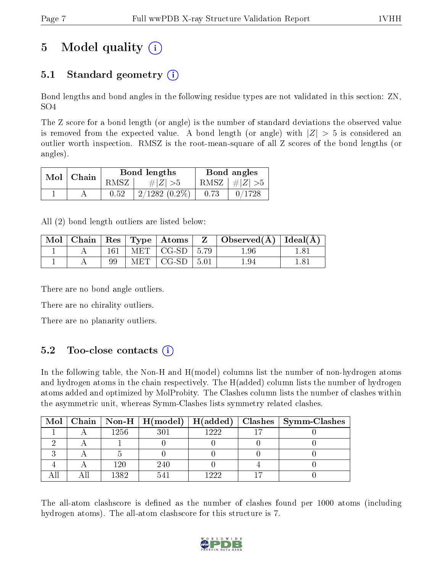# 5 Model quality  $(i)$

### 5.1 Standard geometry (i)

Bond lengths and bond angles in the following residue types are not validated in this section: ZN, SO4

The Z score for a bond length (or angle) is the number of standard deviations the observed value is removed from the expected value. A bond length (or angle) with  $|Z| > 5$  is considered an outlier worth inspection. RMSZ is the root-mean-square of all Z scores of the bond lengths (or angles).

| $Mol$   Chain |      | Bond lengths    | Bond angles |                 |  |
|---------------|------|-----------------|-------------|-----------------|--|
|               | RMSZ | $\# Z  > 5$     |             | RMSZ $ #Z  > 5$ |  |
|               | 0.52 | $2/1282(0.2\%)$ | 0.73        | 0/1728          |  |

All (2) bond length outliers are listed below:

| Mol | Chain | $\mathbb{R}$ es |            | $\mid$ Type $\mid$ Atoms |      | $\mid$ Observed( $\AA$ ) $\mid$ Ideal( $\AA$ ) |  |
|-----|-------|-----------------|------------|--------------------------|------|------------------------------------------------|--|
|     |       | 161             | MET .      | CG-SD                    | 5.79 | 1.96                                           |  |
|     |       |                 | <b>MET</b> | $CG-SD$                  | 5.01 | 1.94                                           |  |

There are no bond angle outliers.

There are no chirality outliers.

There are no planarity outliers.

### 5.2 Too-close contacts  $(i)$

In the following table, the Non-H and H(model) columns list the number of non-hydrogen atoms and hydrogen atoms in the chain respectively. The H(added) column lists the number of hydrogen atoms added and optimized by MolProbity. The Clashes column lists the number of clashes within the asymmetric unit, whereas Symm-Clashes lists symmetry related clashes.

|  |      |     |      | Mol   Chain   Non-H   H(model)   H(added)   Clashes   Symm-Clashes |
|--|------|-----|------|--------------------------------------------------------------------|
|  | 1256 |     | 1999 |                                                                    |
|  |      |     |      |                                                                    |
|  |      |     |      |                                                                    |
|  | 120  | 240 |      |                                                                    |
|  | 1382 |     | 1999 |                                                                    |

The all-atom clashscore is defined as the number of clashes found per 1000 atoms (including hydrogen atoms). The all-atom clashscore for this structure is 7.

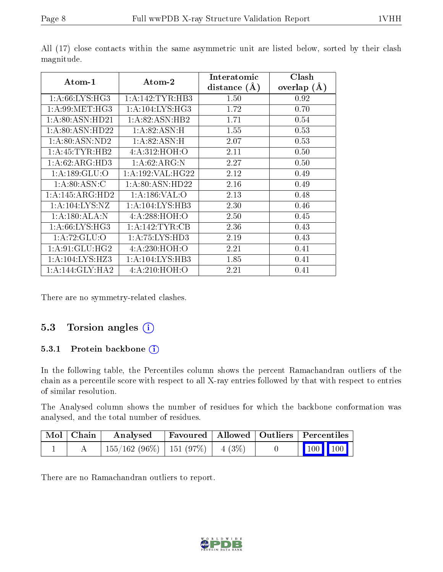| Atom-1              | Atom-2               | Interatomic    | Clash         |
|---------------------|----------------------|----------------|---------------|
|                     |                      | distance $(A)$ | overlap $(A)$ |
| 1: A:66: LYS:HG3    | 1: A:142:TYR:HB3     | 1.50           | 0.92          |
| 1: A:99:MET:HG3     | 1: A:104: LYS: HG3   | 1.72           | 0.70          |
| 1:A:80:ASN:HD21     | 1:A:82:ASN:HB2       | 1.71           | 0.54          |
| 1: A:80: ASN:HD22   | 1: A:82: ASN:H       | 1.55           | 0.53          |
| 1:A:80:ASN:ND2      | 1:A:82:ASN:H         | 2.07           | 0.53          |
| 1:A:45:TYR:HB2      | 4: A:312: HOH:O      | 2.11           | 0.50          |
| 1: A:62: ARG:HD3    | 1: A:62: ARG: N      | 2.27           | 0.50          |
| 1: A: 189: GLU:O    | 1: A: 192: VAL: HG22 | 2.12           | 0.49          |
| 1: A:80: ASN: C     | 1: A:80: ASN:HD22    | 2.16           | 0.49          |
| 1:A:145:ARG:HD2     | 1: A:186: VAL:O      | 2.13           | 0.48          |
| 1: A: 104: LYS: NZ  | 1: A:104:LYS:HB3     | 2.30           | 0.46          |
| 1:A:180:ALA:N       | 4: A:288:HOH:O       | 2.50           | 0.45          |
| 1:A:66:LYS:HG3      | 1: A:142:TYR:CB      | 2.36           | 0.43          |
| 1: A:72: GLU:O      | 1: A: 75: LYS: HD3   | 2.19           | 0.43          |
| 1: A:91: GLU: HG2   | 4:A:230:HOH:O        | 2.21           | 0.41          |
| 1: A: 104: LYS: HZ3 | 1:A:104:LYS:HB3      | 1.85           | 0.41          |
| 1:A:144:GLY:HA2     | 4: A:210:HOH:O       | 2.21           | 0.41          |

All (17) close contacts within the same asymmetric unit are listed below, sorted by their clash magnitude.

There are no symmetry-related clashes.

#### 5.3 Torsion angles (i)

#### 5.3.1 Protein backbone (i)

In the following table, the Percentiles column shows the percent Ramachandran outliers of the chain as a percentile score with respect to all X-ray entries followed by that with respect to entries of similar resolution.

The Analysed column shows the number of residues for which the backbone conformation was analysed, and the total number of residues.

| $\mid$ Mol $\mid$ Chain | Analysed                                |  | Favoured   Allowed   Outliers   Percentiles                  |  |
|-------------------------|-----------------------------------------|--|--------------------------------------------------------------|--|
|                         | $155/162$ (96\%)   151 (97\%)   4 (3\%) |  | $\begin{array}{ c c c c c }\n\hline\n100 & 100\n\end{array}$ |  |

There are no Ramachandran outliers to report.

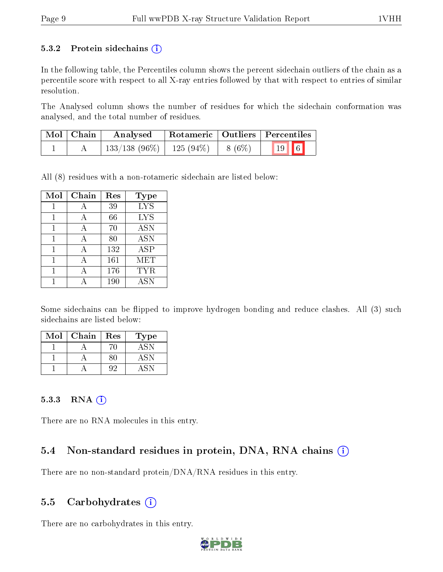#### 5.3.2 Protein sidechains  $(i)$

In the following table, the Percentiles column shows the percent sidechain outliers of the chain as a percentile score with respect to all X-ray entries followed by that with respect to entries of similar resolution.

The Analysed column shows the number of residues for which the sidechain conformation was analysed, and the total number of residues.

| $\mid$ Mol $\mid$ Chain | $\boldsymbol{\mathrm{Analysed}}$        | Rotameric   Outliers   Percentiles |                |  |  |
|-------------------------|-----------------------------------------|------------------------------------|----------------|--|--|
|                         | $133/138$ (96\%)   125 (94\%)   8 (6\%) |                                    | $\boxed{19}$ 6 |  |  |

All (8) residues with a non-rotameric sidechain are listed below:

| Mol | Chain | Res | <b>Type</b> |
|-----|-------|-----|-------------|
|     | А     | 39  | <b>LYS</b>  |
|     | А     | 66  | <b>LYS</b>  |
|     | А     | 70  | <b>ASN</b>  |
| 1   | A     | 80  | <b>ASN</b>  |
| 1   | А     | 132 | <b>ASP</b>  |
| 1   | А     | 161 | MET         |
|     |       | 176 | <b>TYR</b>  |
|     |       | 190 | <b>ASN</b>  |

Some sidechains can be flipped to improve hydrogen bonding and reduce clashes. All (3) such sidechains are listed below:

| Mol | Chain | Res | Type |
|-----|-------|-----|------|
|     |       |     |      |
|     |       |     | ASN  |
|     |       |     |      |

#### $5.3.3$  RNA  $(i)$

There are no RNA molecules in this entry.

#### 5.4 Non-standard residues in protein, DNA, RNA chains (i)

There are no non-standard protein/DNA/RNA residues in this entry.

#### 5.5 Carbohydrates  $(i)$

There are no carbohydrates in this entry.

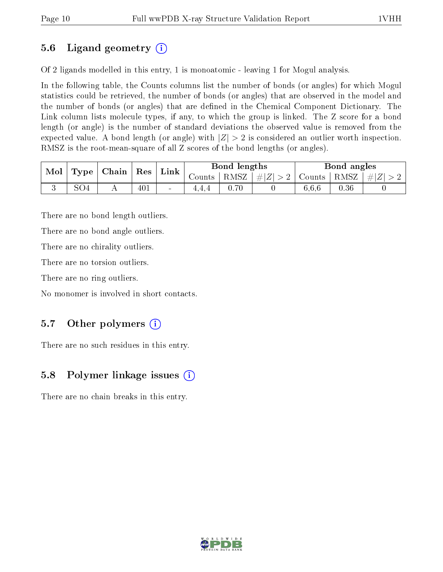### 5.6 Ligand geometry (i)

Of 2 ligands modelled in this entry, 1 is monoatomic - leaving 1 for Mogul analysis.

In the following table, the Counts columns list the number of bonds (or angles) for which Mogul statistics could be retrieved, the number of bonds (or angles) that are observed in the model and the number of bonds (or angles) that are dened in the Chemical Component Dictionary. The Link column lists molecule types, if any, to which the group is linked. The Z score for a bond length (or angle) is the number of standard deviations the observed value is removed from the expected value. A bond length (or angle) with  $|Z| > 2$  is considered an outlier worth inspection. RMSZ is the root-mean-square of all Z scores of the bond lengths (or angles).

| $\bf{Mol}$ |                 | $\mid$ Type $\mid$ Chain $\mid$ | $\mid$ Res $\mid$ | $Link \vert$             |                 | Bond lengths |                    |               | Bond angles |         |
|------------|-----------------|---------------------------------|-------------------|--------------------------|-----------------|--------------|--------------------|---------------|-------------|---------|
|            |                 |                                 |                   |                          | Counts $\vdash$ |              | RMSZ   $\# Z  > 2$ | Counts   RMSZ |             | $\# Z $ |
|            | SO <sub>4</sub> |                                 | 401               | $\overline{\phantom{a}}$ | 4.4.4           | 0.70         |                    | 6.6.6         | 0.36        |         |

There are no bond length outliers.

There are no bond angle outliers.

There are no chirality outliers.

There are no torsion outliers.

There are no ring outliers.

No monomer is involved in short contacts.

### 5.7 [O](https://www.wwpdb.org/validation/2017/XrayValidationReportHelp#nonstandard_residues_and_ligands)ther polymers  $(i)$

There are no such residues in this entry.

#### 5.8 Polymer linkage issues  $(i)$

There are no chain breaks in this entry.

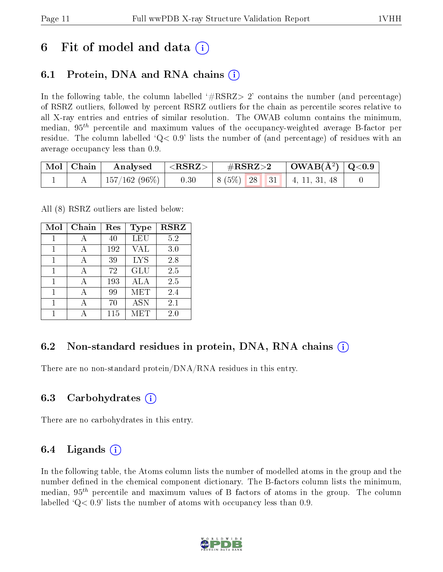### 6 Fit of model and data  $\left( \cdot \right)$

#### 6.1 Protein, DNA and RNA chains (i)

In the following table, the column labelled  $#RSRZ>2'$  contains the number (and percentage) of RSRZ outliers, followed by percent RSRZ outliers for the chain as percentile scores relative to all X-ray entries and entries of similar resolution. The OWAB column contains the minimum, median,  $95<sup>th</sup>$  percentile and maximum values of the occupancy-weighted average B-factor per residue. The column labelled  $Q < 0.9$  lists the number of (and percentage) of residues with an average occupancy less than 0.9.

| $\mid$ Mol $\mid$ Chain $\mid$ | $\boldsymbol{\mathrm{Analysed}}$ | $\vert$ <rsrz> <math>\vert</math></rsrz> | $\rm \#RSRZ{>}2$                  | $\vert$ OWAB(Å <sup>2</sup> ) $\vert$ Q<0.9 |
|--------------------------------|----------------------------------|------------------------------------------|-----------------------------------|---------------------------------------------|
|                                | $\pm 157/162$ (96%) $\pm$        | 0.30                                     | $\mid 8(5\%)$ 28 31 4, 11, 31, 48 |                                             |

All (8) RSRZ outliers are listed below:

| Mol | Chain | $\operatorname{Res}% \left( \mathcal{N}\right) \equiv\operatorname{Res}(\mathcal{N}_{0})\cap\mathcal{N}_{1}$ | Type       | <b>RSRZ</b> |
|-----|-------|--------------------------------------------------------------------------------------------------------------|------------|-------------|
| 1   | А     | 40                                                                                                           | <b>LEU</b> | 5.2         |
| 1   |       | 192                                                                                                          | VAL        | 3.0         |
| 1   |       | 39                                                                                                           | <b>LYS</b> | 2.8         |
| 1   |       | 72                                                                                                           | <b>GLU</b> | 2.5         |
| 1   |       | 193                                                                                                          | <b>ALA</b> | 2.5         |
| 1   |       | 99                                                                                                           | MET        | 2.4         |
|     |       | 70                                                                                                           | <b>ASN</b> | 2.1         |
|     |       | 115                                                                                                          | MET        | 2.0         |

#### 6.2 Non-standard residues in protein, DNA, RNA chains  $(i)$

There are no non-standard protein/DNA/RNA residues in this entry.

#### 6.3 Carbohydrates (i)

There are no carbohydrates in this entry.

#### 6.4 Ligands  $(i)$

In the following table, the Atoms column lists the number of modelled atoms in the group and the number defined in the chemical component dictionary. The B-factors column lists the minimum, median,  $95<sup>th</sup>$  percentile and maximum values of B factors of atoms in the group. The column labelled  $Q< 0.9$ ' lists the number of atoms with occupancy less than 0.9.